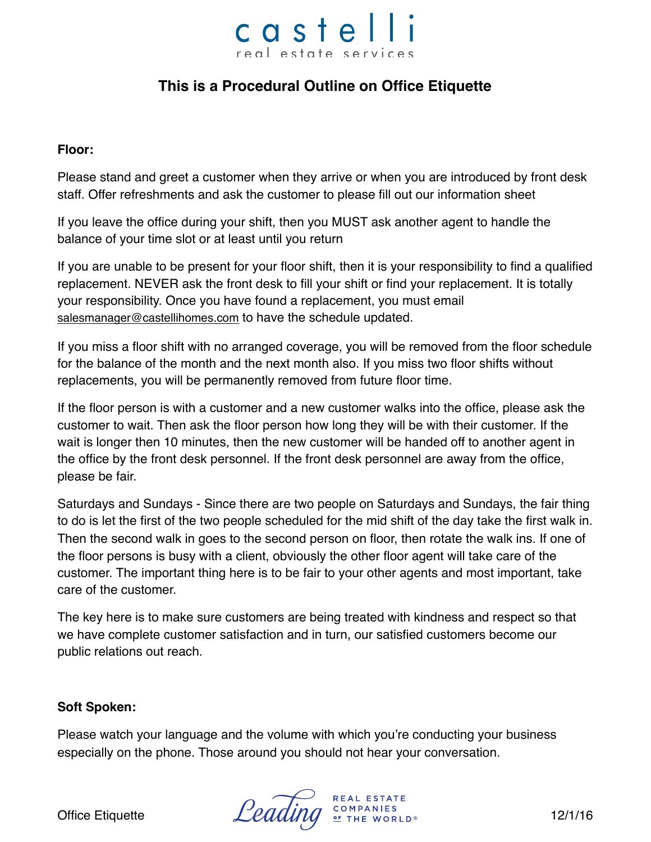## castelli real estate services

### **This is a Procedural Outline on Office Etiquette**

#### **Floor:**

Please stand and greet a customer when they arrive or when you are introduced by front desk staff. Offer refreshments and ask the customer to please fill out our information sheet

If you leave the office during your shift, then you MUST ask another agent to handle the balance of your time slot or at least until you return

If you are unable to be present for your floor shift, then it is your responsibility to find a qualified replacement. NEVER ask the front desk to fill your shift or find your replacement. It is totally your responsibility. Once you have found a replacement, you must email [salesmanager@castellihomes.com](mailto:salesmanager@castellihomes.com) to have the schedule updated.

If you miss a floor shift with no arranged coverage, you will be removed from the floor schedule for the balance of the month and the next month also. If you miss two floor shifts without replacements, you will be permanently removed from future floor time.

If the floor person is with a customer and a new customer walks into the office, please ask the customer to wait. Then ask the floor person how long they will be with their customer. If the wait is longer then 10 minutes, then the new customer will be handed off to another agent in the office by the front desk personnel. If the front desk personnel are away from the office, please be fair.

Saturdays and Sundays - Since there are two people on Saturdays and Sundays, the fair thing to do is let the first of the two people scheduled for the mid shift of the day take the first walk in. Then the second walk in goes to the second person on floor, then rotate the walk ins. If one of the floor persons is busy with a client, obviously the other floor agent will take care of the customer. The important thing here is to be fair to your other agents and most important, take care of the customer.

The key here is to make sure customers are being treated with kindness and respect so that we have complete customer satisfaction and in turn, our satisfied customers become our public relations out reach.

#### **Soft Spoken:**

Please watch your language and the volume with which you're conducting your business especially on the phone. Those around you should not hear your conversation.